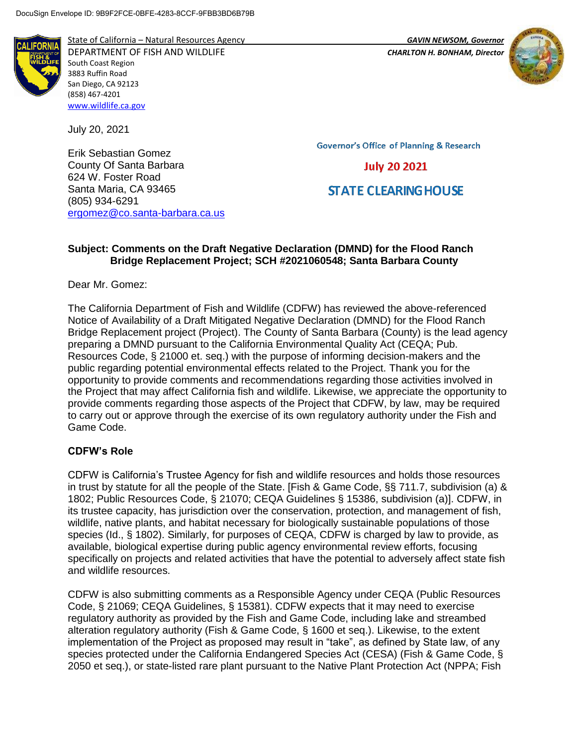

State of California – Natural Resources Agency *GAVIN NEWSOM, Governor* DEPARTMENT OF FISH AND WILDLIFE *CHARLTON H. BONHAM, Director*  South Coast Region 3883 Ruffin Road San Diego, CA 92123 (858) 467-4201 [www.wildlife.ca.gov](http://www.wildlife.ca.gov/)

July 20, 2021

Erik Sebastian Gomez County Of Santa Barbara 624 W. Foster Road Santa Maria, CA 93465 (805) 934-6291 [ergomez@co.santa-barbara.ca.us](mailto:ergomez@co.santa-barbara.ca.us) **Governor's Office of Planning & Research** 

**July 20 2021** 

# **STATE CLEARING HOUSE**

### **Subject: Comments on the Draft Negative Declaration (DMND) for the Flood Ranch Bridge Replacement Project; SCH #2021060548; Santa Barbara County**

Dear Mr. Gomez:

The California Department of Fish and Wildlife (CDFW) has reviewed the above-referenced Notice of Availability of a Draft Mitigated Negative Declaration (DMND) for the Flood Ranch Bridge Replacement project (Project). The County of Santa Barbara (County) is the lead agency preparing a DMND pursuant to the California Environmental Quality Act (CEQA; Pub. Resources Code, § 21000 et. seq.) with the purpose of informing decision-makers and the public regarding potential environmental effects related to the Project. Thank you for the opportunity to provide comments and recommendations regarding those activities involved in the Project that may affect California fish and wildlife. Likewise, we appreciate the opportunity to provide comments regarding those aspects of the Project that CDFW, by law, may be required to carry out or approve through the exercise of its own regulatory authority under the Fish and Game Code.

# **CDFW's Role**

CDFW is California's Trustee Agency for fish and wildlife resources and holds those resources in trust by statute for all the people of the State. [Fish & Game Code, §§ 711.7, subdivision (a) & 1802; Public Resources Code, § 21070; CEQA Guidelines § 15386, subdivision (a)]. CDFW, in its trustee capacity, has jurisdiction over the conservation, protection, and management of fish, wildlife, native plants, and habitat necessary for biologically sustainable populations of those species (Id., § 1802). Similarly, for purposes of CEQA, CDFW is charged by law to provide, as available, biological expertise during public agency environmental review efforts, focusing specifically on projects and related activities that have the potential to adversely affect state fish and wildlife resources.

CDFW is also submitting comments as a Responsible Agency under CEQA (Public Resources Code, § 21069; CEQA Guidelines, § 15381). CDFW expects that it may need to exercise regulatory authority as provided by the Fish and Game Code, including lake and streambed alteration regulatory authority (Fish & Game Code, § 1600 et seq.). Likewise, to the extent implementation of the Project as proposed may result in "take", as defined by State law, of any species protected under the California Endangered Species Act (CESA) (Fish & Game Code, § 2050 et seq.), or state-listed rare plant pursuant to the Native Plant Protection Act (NPPA; Fish

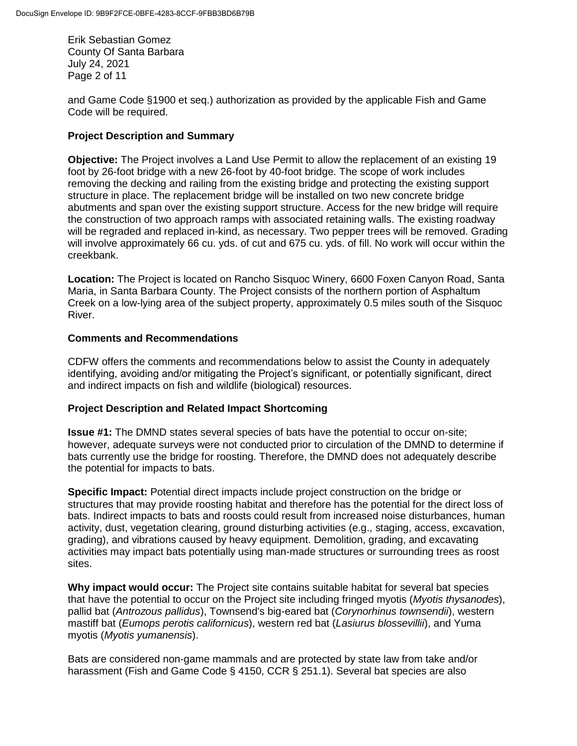Erik Sebastian Gomez County Of Santa Barbara July 24, 2021 Page 2 of 11

and Game Code §1900 et seq.) authorization as provided by the applicable Fish and Game Code will be required.

### **Project Description and Summary**

**Objective:** The Project involves a Land Use Permit to allow the replacement of an existing 19 foot by 26-foot bridge with a new 26-foot by 40-foot bridge. The scope of work includes removing the decking and railing from the existing bridge and protecting the existing support structure in place. The replacement bridge will be installed on two new concrete bridge abutments and span over the existing support structure. Access for the new bridge will require the construction of two approach ramps with associated retaining walls. The existing roadway will be regraded and replaced in-kind, as necessary. Two pepper trees will be removed. Grading will involve approximately 66 cu. yds. of cut and 675 cu. yds. of fill. No work will occur within the creekbank.

**Location:** The Project is located on Rancho Sisquoc Winery, 6600 Foxen Canyon Road, Santa Maria, in Santa Barbara County. The Project consists of the northern portion of Asphaltum Creek on a low-lying area of the subject property, approximately 0.5 miles south of the Sisquoc River.

#### **Comments and Recommendations**

CDFW offers the comments and recommendations below to assist the County in adequately identifying, avoiding and/or mitigating the Project's significant, or potentially significant, direct and indirect impacts on fish and wildlife (biological) resources.

#### **Project Description and Related Impact Shortcoming**

**Issue #1:** The DMND states several species of bats have the potential to occur on-site; however, adequate surveys were not conducted prior to circulation of the DMND to determine if bats currently use the bridge for roosting. Therefore, the DMND does not adequately describe the potential for impacts to bats.

**Specific Impact:** Potential direct impacts include project construction on the bridge or structures that may provide roosting habitat and therefore has the potential for the direct loss of bats. Indirect impacts to bats and roosts could result from increased noise disturbances, human activity, dust, vegetation clearing, ground disturbing activities (e.g., staging, access, excavation, grading), and vibrations caused by heavy equipment. Demolition, grading, and excavating activities may impact bats potentially using man-made structures or surrounding trees as roost sites.

**Why impact would occur:** The Project site contains suitable habitat for several bat species that have the potential to occur on the Project site including fringed myotis (*Myotis thysanodes*), pallid bat (*Antrozous pallidus*), Townsend's big-eared bat (*Corynorhinus townsendii*), western mastiff bat (*Eumops perotis californicus*), western red bat (*Lasiurus blossevillii*), and Yuma myotis (*Myotis yumanensis*).

Bats are considered non-game mammals and are protected by state law from take and/or harassment (Fish and Game Code § 4150, CCR § 251.1). Several bat species are also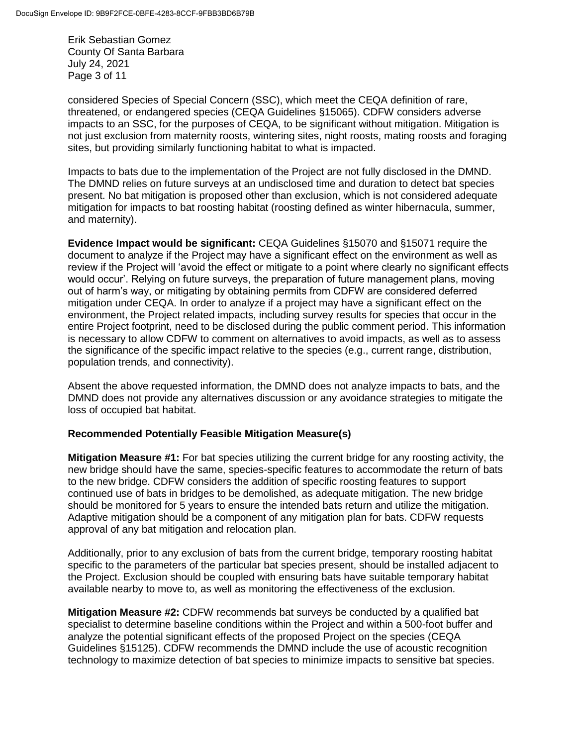Erik Sebastian Gomez County Of Santa Barbara July 24, 2021 Page 3 of 11

considered Species of Special Concern (SSC), which meet the CEQA definition of rare, threatened, or endangered species (CEQA Guidelines §15065). CDFW considers adverse impacts to an SSC, for the purposes of CEQA, to be significant without mitigation. Mitigation is not just exclusion from maternity roosts, wintering sites, night roosts, mating roosts and foraging sites, but providing similarly functioning habitat to what is impacted.

Impacts to bats due to the implementation of the Project are not fully disclosed in the DMND. The DMND relies on future surveys at an undisclosed time and duration to detect bat species present. No bat mitigation is proposed other than exclusion, which is not considered adequate mitigation for impacts to bat roosting habitat (roosting defined as winter hibernacula, summer, and maternity).

**Evidence Impact would be significant:** CEQA Guidelines §15070 and §15071 require the document to analyze if the Project may have a significant effect on the environment as well as review if the Project will 'avoid the effect or mitigate to a point where clearly no significant effects would occur'. Relying on future surveys, the preparation of future management plans, moving out of harm's way, or mitigating by obtaining permits from CDFW are considered deferred mitigation under CEQA. In order to analyze if a project may have a significant effect on the environment, the Project related impacts, including survey results for species that occur in the entire Project footprint, need to be disclosed during the public comment period. This information is necessary to allow CDFW to comment on alternatives to avoid impacts, as well as to assess the significance of the specific impact relative to the species (e.g., current range, distribution, population trends, and connectivity).

Absent the above requested information, the DMND does not analyze impacts to bats, and the DMND does not provide any alternatives discussion or any avoidance strategies to mitigate the loss of occupied bat habitat.

#### **Recommended Potentially Feasible Mitigation Measure(s)**

**Mitigation Measure #1:** For bat species utilizing the current bridge for any roosting activity, the new bridge should have the same, species-specific features to accommodate the return of bats to the new bridge. CDFW considers the addition of specific roosting features to support continued use of bats in bridges to be demolished, as adequate mitigation. The new bridge should be monitored for 5 years to ensure the intended bats return and utilize the mitigation. Adaptive mitigation should be a component of any mitigation plan for bats. CDFW requests approval of any bat mitigation and relocation plan.

Additionally, prior to any exclusion of bats from the current bridge, temporary roosting habitat specific to the parameters of the particular bat species present, should be installed adjacent to the Project. Exclusion should be coupled with ensuring bats have suitable temporary habitat available nearby to move to, as well as monitoring the effectiveness of the exclusion.

**Mitigation Measure #2:** CDFW recommends bat surveys be conducted by a qualified bat specialist to determine baseline conditions within the Project and within a 500-foot buffer and analyze the potential significant effects of the proposed Project on the species (CEQA Guidelines §15125). CDFW recommends the DMND include the use of acoustic recognition technology to maximize detection of bat species to minimize impacts to sensitive bat species.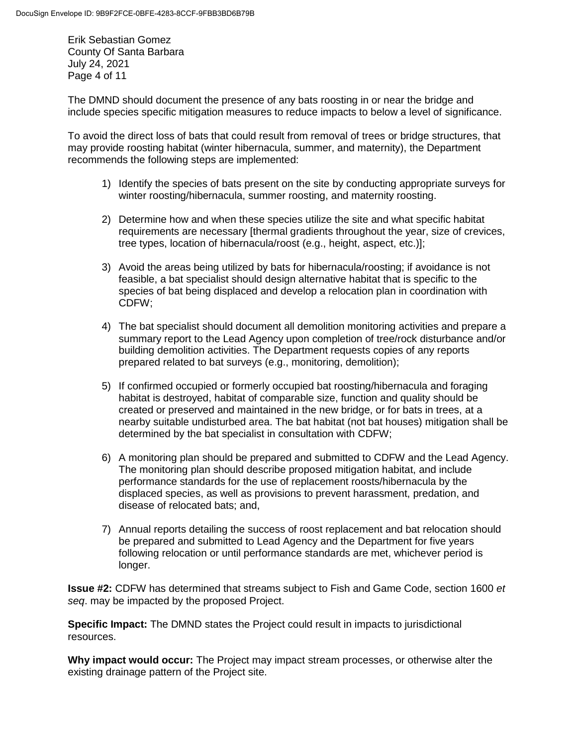Erik Sebastian Gomez County Of Santa Barbara July 24, 2021 Page 4 of 11

The DMND should document the presence of any bats roosting in or near the bridge and include species specific mitigation measures to reduce impacts to below a level of significance.

To avoid the direct loss of bats that could result from removal of trees or bridge structures, that may provide roosting habitat (winter hibernacula, summer, and maternity), the Department recommends the following steps are implemented:

- 1) Identify the species of bats present on the site by conducting appropriate surveys for winter roosting/hibernacula, summer roosting, and maternity roosting.
- 2) Determine how and when these species utilize the site and what specific habitat requirements are necessary [thermal gradients throughout the year, size of crevices, tree types, location of hibernacula/roost (e.g., height, aspect, etc.)];
- 3) Avoid the areas being utilized by bats for hibernacula/roosting; if avoidance is not feasible, a bat specialist should design alternative habitat that is specific to the species of bat being displaced and develop a relocation plan in coordination with CDFW;
- 4) The bat specialist should document all demolition monitoring activities and prepare a summary report to the Lead Agency upon completion of tree/rock disturbance and/or building demolition activities. The Department requests copies of any reports prepared related to bat surveys (e.g., monitoring, demolition);
- 5) If confirmed occupied or formerly occupied bat roosting/hibernacula and foraging habitat is destroyed, habitat of comparable size, function and quality should be created or preserved and maintained in the new bridge, or for bats in trees, at a nearby suitable undisturbed area. The bat habitat (not bat houses) mitigation shall be determined by the bat specialist in consultation with CDFW;
- 6) A monitoring plan should be prepared and submitted to CDFW and the Lead Agency. The monitoring plan should describe proposed mitigation habitat, and include performance standards for the use of replacement roosts/hibernacula by the displaced species, as well as provisions to prevent harassment, predation, and disease of relocated bats; and,
- 7) Annual reports detailing the success of roost replacement and bat relocation should be prepared and submitted to Lead Agency and the Department for five years following relocation or until performance standards are met, whichever period is longer.

**Issue #2:** CDFW has determined that streams subject to Fish and Game Code, section 1600 *et seq*. may be impacted by the proposed Project.

**Specific Impact:** The DMND states the Project could result in impacts to jurisdictional resources.

**Why impact would occur:** The Project may impact stream processes, or otherwise alter the existing drainage pattern of the Project site.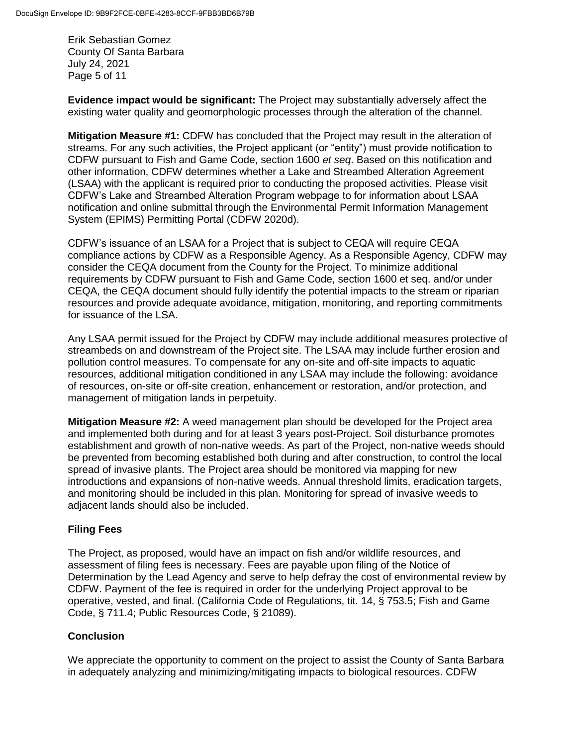Erik Sebastian Gomez County Of Santa Barbara July 24, 2021 Page 5 of 11

**Evidence impact would be significant:** The Project may substantially adversely affect the existing water quality and geomorphologic processes through the alteration of the channel.

**Mitigation Measure #1:** CDFW has concluded that the Project may result in the alteration of streams. For any such activities, the Project applicant (or "entity") must provide notification to CDFW pursuant to Fish and Game Code, section 1600 *et seq*. Based on this notification and other information, CDFW determines whether a Lake and Streambed Alteration Agreement (LSAA) with the applicant is required prior to conducting the proposed activities. Please visit CDFW's Lake and Streambed Alteration Program webpage to for information about LSAA notification and online submittal through the Environmental Permit Information Management System (EPIMS) Permitting Portal (CDFW 2020d).

CDFW's issuance of an LSAA for a Project that is subject to CEQA will require CEQA compliance actions by CDFW as a Responsible Agency. As a Responsible Agency, CDFW may consider the CEQA document from the County for the Project. To minimize additional requirements by CDFW pursuant to Fish and Game Code, section 1600 et seq. and/or under CEQA, the CEQA document should fully identify the potential impacts to the stream or riparian resources and provide adequate avoidance, mitigation, monitoring, and reporting commitments for issuance of the LSA.

Any LSAA permit issued for the Project by CDFW may include additional measures protective of streambeds on and downstream of the Project site. The LSAA may include further erosion and pollution control measures. To compensate for any on-site and off-site impacts to aquatic resources, additional mitigation conditioned in any LSAA may include the following: avoidance of resources, on-site or off-site creation, enhancement or restoration, and/or protection, and management of mitigation lands in perpetuity.

**Mitigation Measure #2:** A weed management plan should be developed for the Project area and implemented both during and for at least 3 years post-Project. Soil disturbance promotes establishment and growth of non-native weeds. As part of the Project, non-native weeds should be prevented from becoming established both during and after construction, to control the local spread of invasive plants. The Project area should be monitored via mapping for new introductions and expansions of non-native weeds. Annual threshold limits, eradication targets, and monitoring should be included in this plan. Monitoring for spread of invasive weeds to adjacent lands should also be included.

# **Filing Fees**

The Project, as proposed, would have an impact on fish and/or wildlife resources, and assessment of filing fees is necessary. Fees are payable upon filing of the Notice of Determination by the Lead Agency and serve to help defray the cost of environmental review by CDFW. Payment of the fee is required in order for the underlying Project approval to be operative, vested, and final. (California Code of Regulations, tit. 14, § 753.5; Fish and Game Code, § 711.4; Public Resources Code, § 21089).

# **Conclusion**

We appreciate the opportunity to comment on the project to assist the County of Santa Barbara in adequately analyzing and minimizing/mitigating impacts to biological resources. CDFW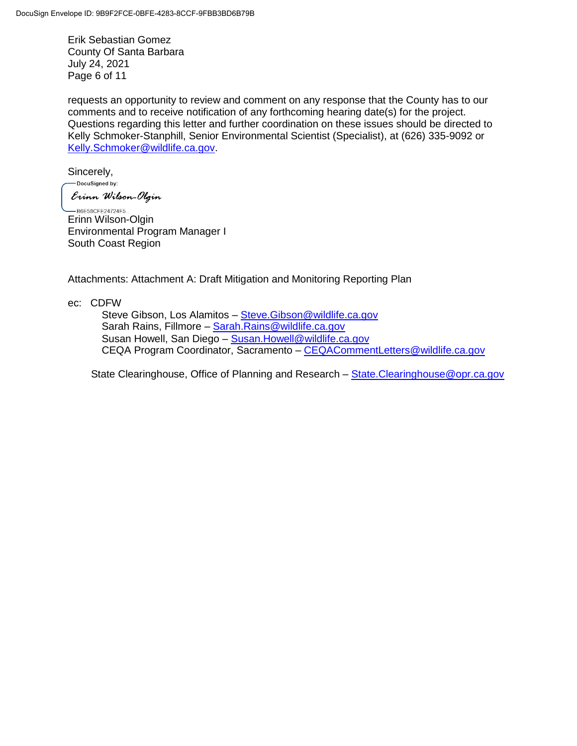Erik Sebastian Gomez County Of Santa Barbara July 24, 2021 Page 6 of 11

requests an opportunity to review and comment on any response that the County has to our comments and to receive notification of any forthcoming hearing date(s) for the project. Questions regarding this letter and further coordination on these issues should be directed to Kelly Schmoker-Stanphill, Senior Environmental Scientist (Specialist), at (626) 335-9092 or [Kelly.Schmoker@wildlife.ca.gov.](mailto:Kelly.Schmoker@wildlife.ca.gov)

Sincerely,

-DocuSigned by: Erinn Wilson-Olgin

-B6E58CFE24724F5... Erinn Wilson-Olgin Environmental Program Manager I South Coast Region

Attachments: Attachment A: Draft Mitigation and Monitoring Reporting Plan

ec: CDFW

Steve Gibson, Los Alamitos – [Steve.Gibson@wildlife.ca.gov](mailto:Steve.Gibson@wildlife.ca.gov) Sarah Rains, Fillmore – [Sarah.Rains@wildlife.ca.gov](mailto:Sarah.Rains@wildlife.ca.gov) Susan Howell, San Diego – [Susan.Howell@wildlife.ca.gov](mailto:Susan.Howell@wildlife.ca.gov) CEQA Program Coordinator, Sacramento – [CEQACommentLetters@wildlife.ca.gov](mailto:CEQACommentLetters@wildlife.ca.gov) 

State Clearinghouse, Office of Planning and Research – [State.Clearinghouse@opr.ca.gov](mailto:State.Clearinghouse@opr.ca.gov)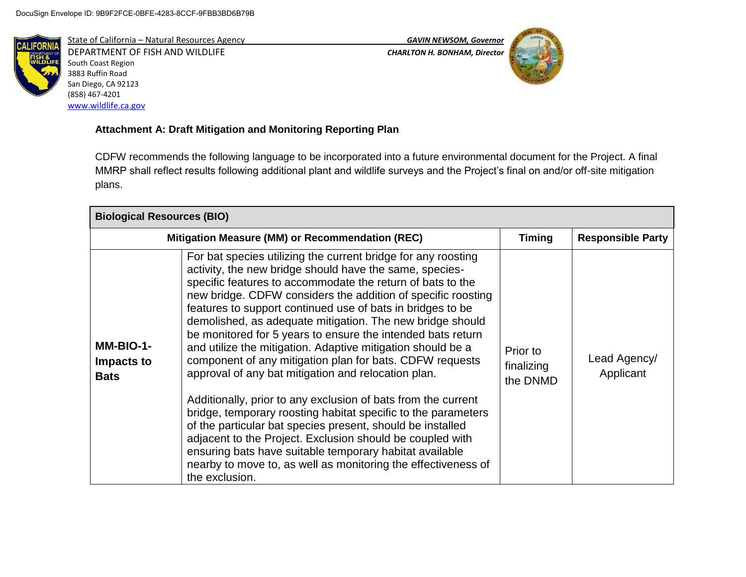

State of California – Natural Resources Agency *GAVIN NEWSOM, Governor* DEPARTMENT OF FISH AND WILDLIFE *CHARLTON H. BONHAM, Director*  South Coast Region 3883 Ruffin Road San Diego, CA 92123 (858) 467-4201 [www.wildlife.ca.gov](http://www.wildlife.ca.gov/)





# **Attachment A: Draft Mitigation and Monitoring Reporting Plan**

CDFW recommends the following language to be incorporated into a future environmental document for the Project. A final MMRP shall reflect results following additional plant and wildlife surveys and the Project's final on and/or off-site mitigation plans.

| <b>Biological Resources (BIO)</b>      |                                                                                                                                                                                                                                                                                                                                                                                                                                                                                                                                                                                                                                                                                                                                                                                                                                                                                                                                                                                                                                               |                                    |                           |
|----------------------------------------|-----------------------------------------------------------------------------------------------------------------------------------------------------------------------------------------------------------------------------------------------------------------------------------------------------------------------------------------------------------------------------------------------------------------------------------------------------------------------------------------------------------------------------------------------------------------------------------------------------------------------------------------------------------------------------------------------------------------------------------------------------------------------------------------------------------------------------------------------------------------------------------------------------------------------------------------------------------------------------------------------------------------------------------------------|------------------------------------|---------------------------|
|                                        | Mitigation Measure (MM) or Recommendation (REC)                                                                                                                                                                                                                                                                                                                                                                                                                                                                                                                                                                                                                                                                                                                                                                                                                                                                                                                                                                                               |                                    | <b>Responsible Party</b>  |
| MM-BIO-1-<br>Impacts to<br><b>Bats</b> | For bat species utilizing the current bridge for any roosting<br>activity, the new bridge should have the same, species-<br>specific features to accommodate the return of bats to the<br>new bridge. CDFW considers the addition of specific roosting<br>features to support continued use of bats in bridges to be<br>demolished, as adequate mitigation. The new bridge should<br>be monitored for 5 years to ensure the intended bats return<br>and utilize the mitigation. Adaptive mitigation should be a<br>component of any mitigation plan for bats. CDFW requests<br>approval of any bat mitigation and relocation plan.<br>Additionally, prior to any exclusion of bats from the current<br>bridge, temporary roosting habitat specific to the parameters<br>of the particular bat species present, should be installed<br>adjacent to the Project. Exclusion should be coupled with<br>ensuring bats have suitable temporary habitat available<br>nearby to move to, as well as monitoring the effectiveness of<br>the exclusion. | Prior to<br>finalizing<br>the DNMD | Lead Agency/<br>Applicant |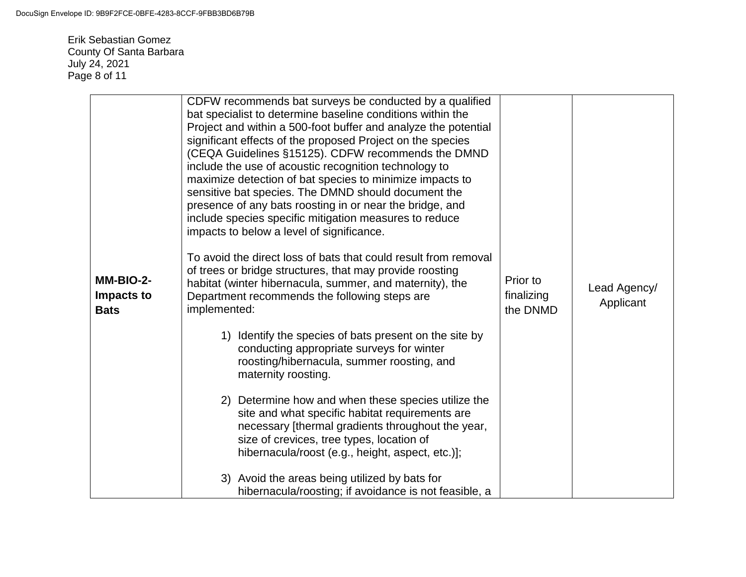Erik Sebastian Gomez County Of Santa Barbara July 24, 2021 Page 8 of 11

| MM-BIO-2-<br>Impacts to<br><b>Bats</b> | CDFW recommends bat surveys be conducted by a qualified<br>bat specialist to determine baseline conditions within the<br>Project and within a 500-foot buffer and analyze the potential<br>significant effects of the proposed Project on the species<br>(CEQA Guidelines §15125). CDFW recommends the DMND<br>include the use of acoustic recognition technology to<br>maximize detection of bat species to minimize impacts to<br>sensitive bat species. The DMND should document the<br>presence of any bats roosting in or near the bridge, and<br>include species specific mitigation measures to reduce<br>impacts to below a level of significance.<br>To avoid the direct loss of bats that could result from removal<br>of trees or bridge structures, that may provide roosting<br>habitat (winter hibernacula, summer, and maternity), the<br>Department recommends the following steps are<br>implemented: | Prior to<br>finalizing<br>the DNMD | Lead Agency/<br>Applicant |
|----------------------------------------|------------------------------------------------------------------------------------------------------------------------------------------------------------------------------------------------------------------------------------------------------------------------------------------------------------------------------------------------------------------------------------------------------------------------------------------------------------------------------------------------------------------------------------------------------------------------------------------------------------------------------------------------------------------------------------------------------------------------------------------------------------------------------------------------------------------------------------------------------------------------------------------------------------------------|------------------------------------|---------------------------|
|                                        | 1) Identify the species of bats present on the site by<br>conducting appropriate surveys for winter<br>roosting/hibernacula, summer roosting, and<br>maternity roosting.<br>2) Determine how and when these species utilize the<br>site and what specific habitat requirements are<br>necessary [thermal gradients throughout the year,<br>size of crevices, tree types, location of<br>hibernacula/roost (e.g., height, aspect, etc.)];<br>3) Avoid the areas being utilized by bats for<br>hibernacula/roosting; if avoidance is not feasible, a                                                                                                                                                                                                                                                                                                                                                                     |                                    |                           |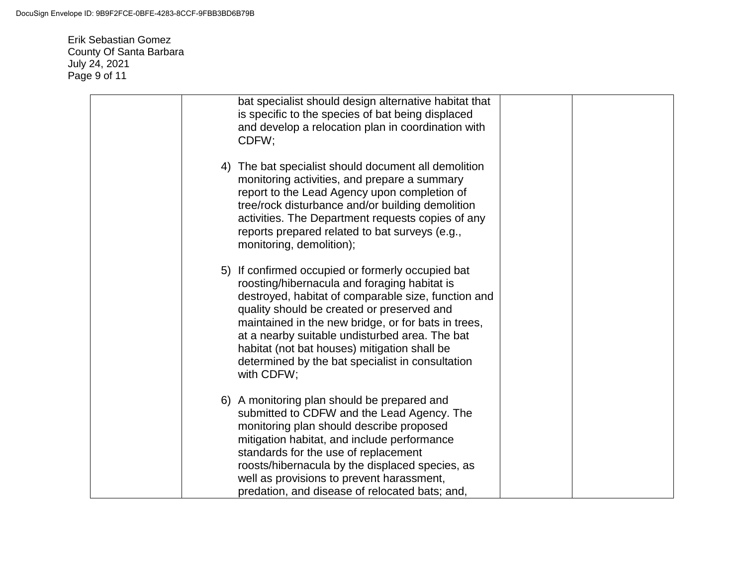Erik Sebastian Gomez County Of Santa Barbara July 24, 2021 Page 9 of 11

| bat specialist should design alternative habitat that<br>is specific to the species of bat being displaced<br>and develop a relocation plan in coordination with<br>CDFW;                                                                                                                                                                                                                                                         |  |
|-----------------------------------------------------------------------------------------------------------------------------------------------------------------------------------------------------------------------------------------------------------------------------------------------------------------------------------------------------------------------------------------------------------------------------------|--|
| 4) The bat specialist should document all demolition<br>monitoring activities, and prepare a summary<br>report to the Lead Agency upon completion of<br>tree/rock disturbance and/or building demolition<br>activities. The Department requests copies of any<br>reports prepared related to bat surveys (e.g.,<br>monitoring, demolition);                                                                                       |  |
| 5) If confirmed occupied or formerly occupied bat<br>roosting/hibernacula and foraging habitat is<br>destroyed, habitat of comparable size, function and<br>quality should be created or preserved and<br>maintained in the new bridge, or for bats in trees,<br>at a nearby suitable undisturbed area. The bat<br>habitat (not bat houses) mitigation shall be<br>determined by the bat specialist in consultation<br>with CDFW; |  |
| 6) A monitoring plan should be prepared and<br>submitted to CDFW and the Lead Agency. The<br>monitoring plan should describe proposed<br>mitigation habitat, and include performance<br>standards for the use of replacement<br>roosts/hibernacula by the displaced species, as<br>well as provisions to prevent harassment,<br>predation, and disease of relocated bats; and,                                                    |  |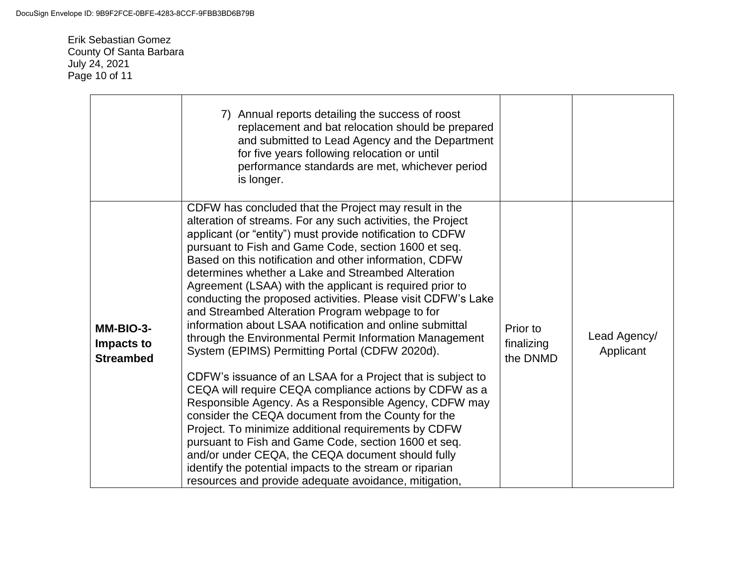Erik Sebastian Gomez County Of Santa Barbara July 24, 2021 Page 10 of 11

|                                             | 7) Annual reports detailing the success of roost<br>replacement and bat relocation should be prepared<br>and submitted to Lead Agency and the Department<br>for five years following relocation or until<br>performance standards are met, whichever period<br>is longer.                                                                                                                                                                                                                                                                                                                                                                                                                                                                                                                                                                                                                                                                                 |                                    |                           |
|---------------------------------------------|-----------------------------------------------------------------------------------------------------------------------------------------------------------------------------------------------------------------------------------------------------------------------------------------------------------------------------------------------------------------------------------------------------------------------------------------------------------------------------------------------------------------------------------------------------------------------------------------------------------------------------------------------------------------------------------------------------------------------------------------------------------------------------------------------------------------------------------------------------------------------------------------------------------------------------------------------------------|------------------------------------|---------------------------|
| MM-BIO-3-<br>Impacts to<br><b>Streambed</b> | CDFW has concluded that the Project may result in the<br>alteration of streams. For any such activities, the Project<br>applicant (or "entity") must provide notification to CDFW<br>pursuant to Fish and Game Code, section 1600 et seq.<br>Based on this notification and other information, CDFW<br>determines whether a Lake and Streambed Alteration<br>Agreement (LSAA) with the applicant is required prior to<br>conducting the proposed activities. Please visit CDFW's Lake<br>and Streambed Alteration Program webpage to for<br>information about LSAA notification and online submittal<br>through the Environmental Permit Information Management<br>System (EPIMS) Permitting Portal (CDFW 2020d).<br>CDFW's issuance of an LSAA for a Project that is subject to<br>CEQA will require CEQA compliance actions by CDFW as a<br>Responsible Agency. As a Responsible Agency, CDFW may<br>consider the CEQA document from the County for the | Prior to<br>finalizing<br>the DNMD | Lead Agency/<br>Applicant |
|                                             | Project. To minimize additional requirements by CDFW<br>pursuant to Fish and Game Code, section 1600 et seq.<br>and/or under CEQA, the CEQA document should fully<br>identify the potential impacts to the stream or riparian<br>resources and provide adequate avoidance, mitigation,                                                                                                                                                                                                                                                                                                                                                                                                                                                                                                                                                                                                                                                                    |                                    |                           |